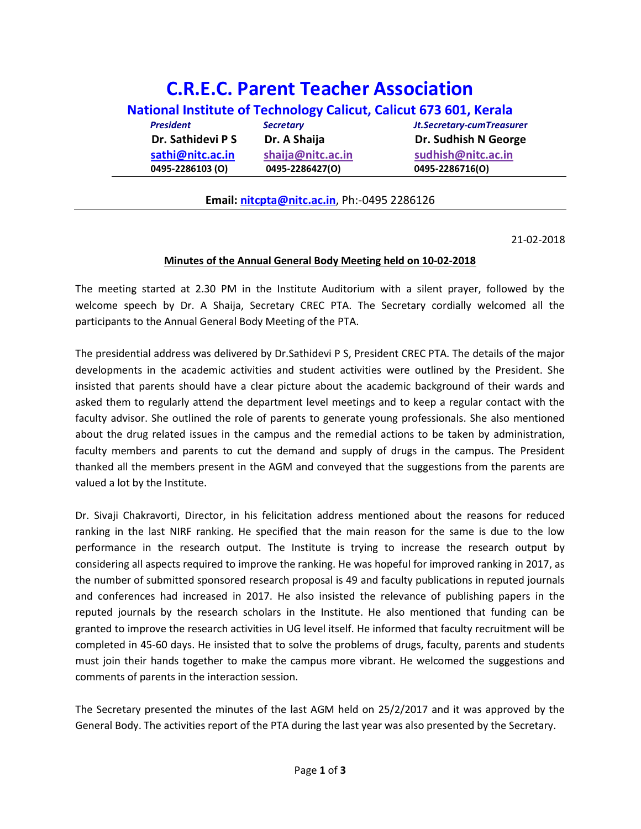## C.R.E.C. Parent Teacher Association National Institute of Technology Calicut, Calicut 673 601, Kerala

| <b>President</b>  | <b>Secretary</b>  | <b>Jt.Secretary-cumTreasurer</b> |
|-------------------|-------------------|----------------------------------|
| Dr. Sathidevi P S | Dr. A Shaija      | Dr. Sudhish N George             |
| sathi@nitc.ac.in  | shaija@nitc.ac.in | sudhish@nitc.ac.in               |
| 0495-2286103 (O)  | 0495-2286427(O)   | 0495-2286716(O)                  |

## Email: nitcpta@nitc.ac.in, Ph:-0495 2286126

21-02-2018

## Minutes of the Annual General Body Meeting held on 10-02-2018

The meeting started at 2.30 PM in the Institute Auditorium with a silent prayer, followed by the welcome speech by Dr. A Shaija, Secretary CREC PTA. The Secretary cordially welcomed all the participants to the Annual General Body Meeting of the PTA.

The presidential address was delivered by Dr.Sathidevi P S, President CREC PTA. The details of the major developments in the academic activities and student activities were outlined by the President. She insisted that parents should have a clear picture about the academic background of their wards and asked them to regularly attend the department level meetings and to keep a regular contact with the faculty advisor. She outlined the role of parents to generate young professionals. She also mentioned about the drug related issues in the campus and the remedial actions to be taken by administration, faculty members and parents to cut the demand and supply of drugs in the campus. The President thanked all the members present in the AGM and conveyed that the suggestions from the parents are valued a lot by the Institute.

Dr. Sivaji Chakravorti, Director, in his felicitation address mentioned about the reasons for reduced ranking in the last NIRF ranking. He specified that the main reason for the same is due to the low performance in the research output. The Institute is trying to increase the research output by considering all aspects required to improve the ranking. He was hopeful for improved ranking in 2017, as the number of submitted sponsored research proposal is 49 and faculty publications in reputed journals and conferences had increased in 2017. He also insisted the relevance of publishing papers in the reputed journals by the research scholars in the Institute. He also mentioned that funding can be granted to improve the research activities in UG level itself. He informed that faculty recruitment will be completed in 45-60 days. He insisted that to solve the problems of drugs, faculty, parents and students must join their hands together to make the campus more vibrant. He welcomed the suggestions and comments of parents in the interaction session.

The Secretary presented the minutes of the last AGM held on 25/2/2017 and it was approved by the General Body. The activities report of the PTA during the last year was also presented by the Secretary.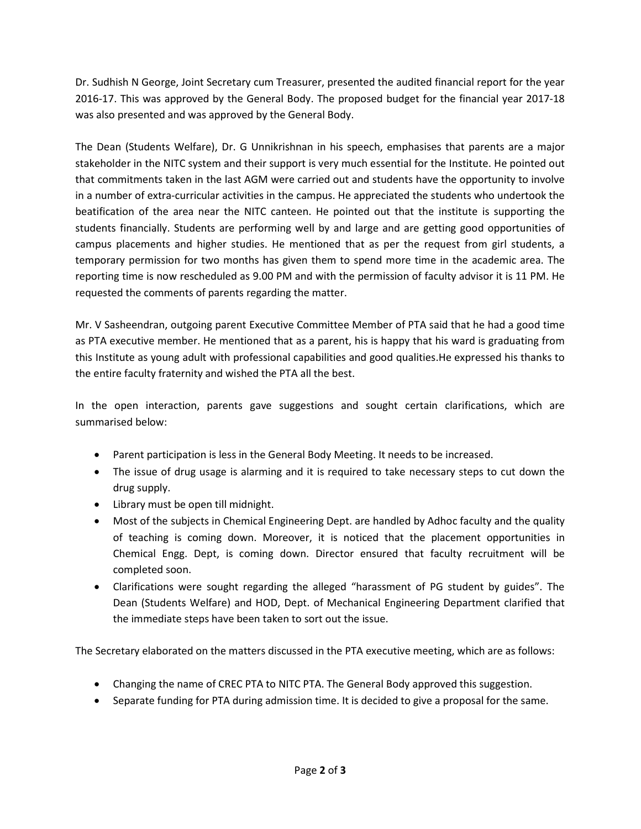Dr. Sudhish N George, Joint Secretary cum Treasurer, presented the audited financial report for the year 2016-17. This was approved by the General Body. The proposed budget for the financial year 2017-18 was also presented and was approved by the General Body.

The Dean (Students Welfare), Dr. G Unnikrishnan in his speech, emphasises that parents are a major stakeholder in the NITC system and their support is very much essential for the Institute. He pointed out that commitments taken in the last AGM were carried out and students have the opportunity to involve in a number of extra-curricular activities in the campus. He appreciated the students who undertook the beatification of the area near the NITC canteen. He pointed out that the institute is supporting the students financially. Students are performing well by and large and are getting good opportunities of campus placements and higher studies. He mentioned that as per the request from girl students, a temporary permission for two months has given them to spend more time in the academic area. The reporting time is now rescheduled as 9.00 PM and with the permission of faculty advisor it is 11 PM. He requested the comments of parents regarding the matter.

Mr. V Sasheendran, outgoing parent Executive Committee Member of PTA said that he had a good time as PTA executive member. He mentioned that as a parent, his is happy that his ward is graduating from this Institute as young adult with professional capabilities and good qualities.He expressed his thanks to the entire faculty fraternity and wished the PTA all the best.

In the open interaction, parents gave suggestions and sought certain clarifications, which are summarised below:

- Parent participation is less in the General Body Meeting. It needs to be increased.
- The issue of drug usage is alarming and it is required to take necessary steps to cut down the drug supply.
- Library must be open till midnight.
- Most of the subjects in Chemical Engineering Dept. are handled by Adhoc faculty and the quality of teaching is coming down. Moreover, it is noticed that the placement opportunities in Chemical Engg. Dept, is coming down. Director ensured that faculty recruitment will be completed soon.
- Clarifications were sought regarding the alleged "harassment of PG student by guides". The Dean (Students Welfare) and HOD, Dept. of Mechanical Engineering Department clarified that the immediate steps have been taken to sort out the issue.

The Secretary elaborated on the matters discussed in the PTA executive meeting, which are as follows:

- Changing the name of CREC PTA to NITC PTA. The General Body approved this suggestion.
- Separate funding for PTA during admission time. It is decided to give a proposal for the same.